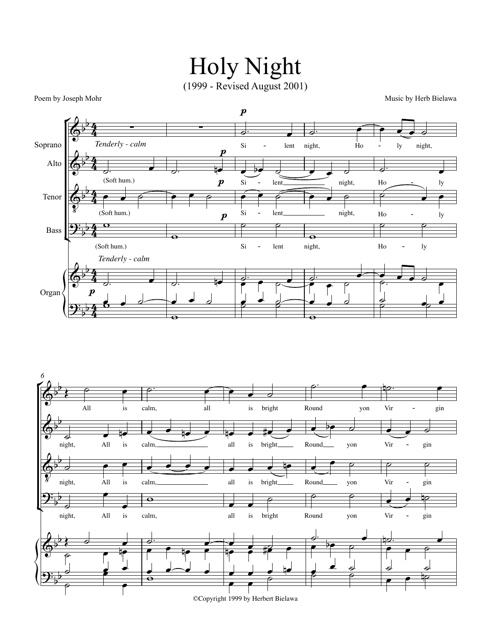## Holy Night (1999 - Revised August 2001)

Poem by Joseph Mohr Music by Herb Bielawa



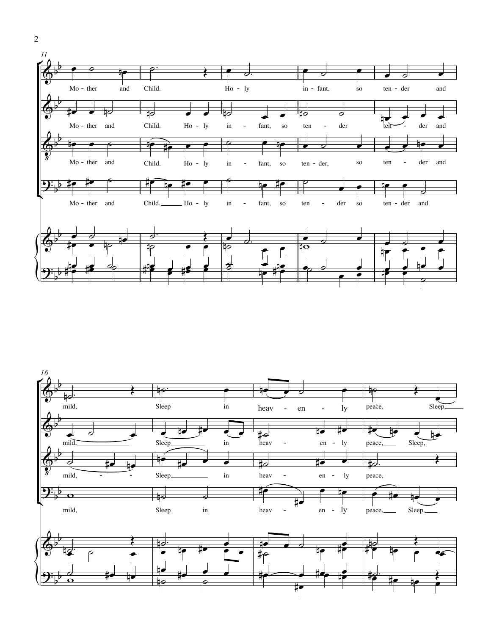



2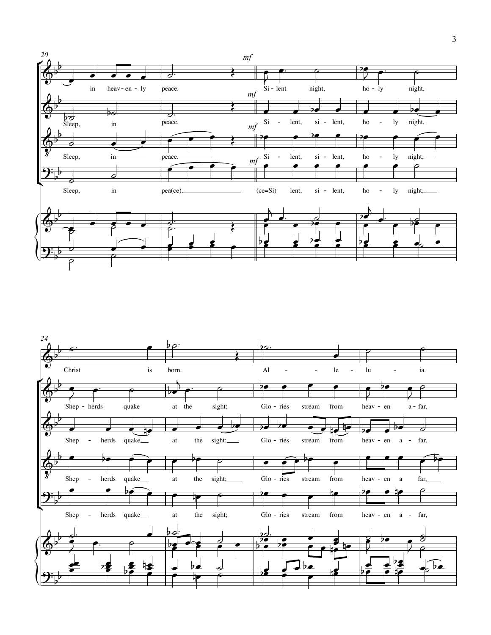

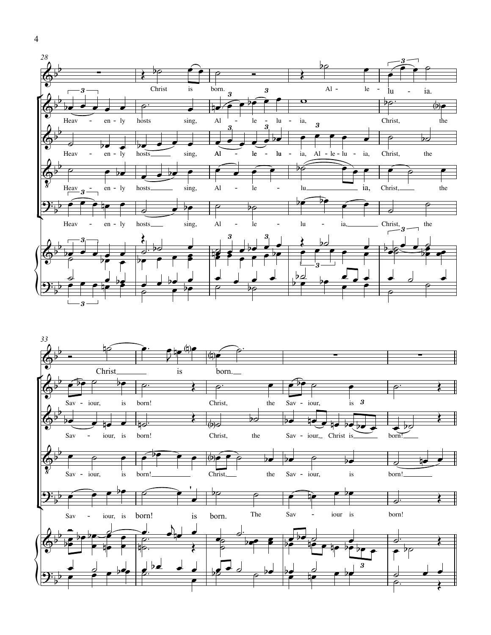

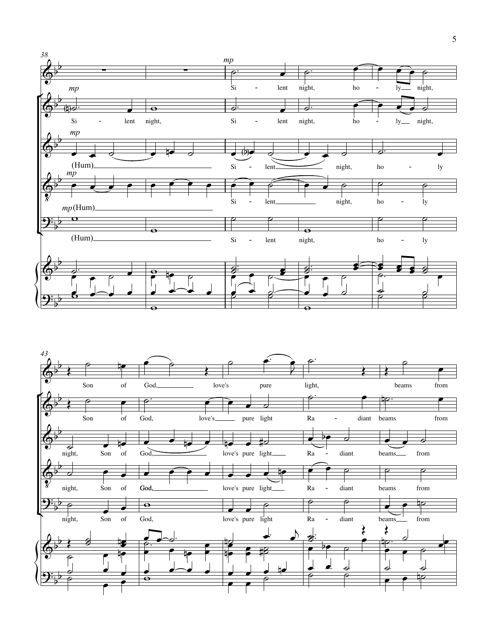

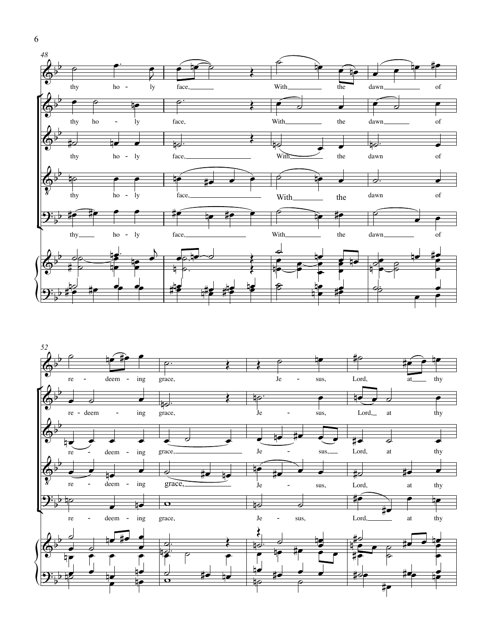



6